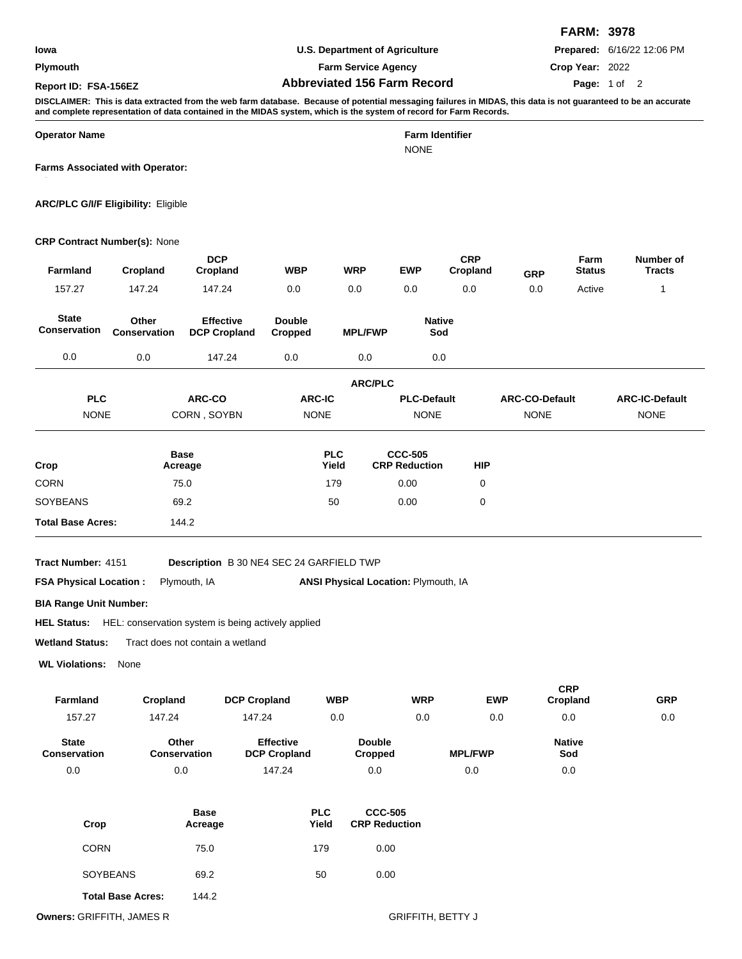**Plymouth**

**U.S. Department of Agriculture**

**Farm Service Agency**

**Abbreviated 156 Farm Record Report ID: FSA-156EZ Page:**

**Prepared:** 6/16/22 12:06 PM

**Crop Year:** 2022

**FARM: 3978**

## Page: 1 of 2

**DISCLAIMER: This is data extracted from the web farm database. Because of potential messaging failures in MIDAS, this data is not guaranteed to be an accurate and complete representation of data contained in the MIDAS system, which is the system of record for Farm Records.**

**Operator Name Farm Identifier**

NONE

**Farms Associated with Operator:**

**ARC/PLC G/I/F Eligibility:** Eligible

490, 644, 773, 817, 5247, 7074, 9547

## **CRP Contract Number(s):** None

| 157.27<br><b>State</b><br>Conservation<br>0.0<br><b>PLC</b><br><b>NONE</b> | 147.24<br>Other<br>Conservation<br>0.0<br>ARC-CO<br>CORN, SOYBN | 147.24<br>0.0<br><b>Double</b><br><b>Effective</b><br><b>DCP Cropland</b><br>Cropped<br>147.24<br>0.0 | 0.0<br><b>ARC-IC</b>                 | <b>MPL/FWP</b><br>0.0<br><b>ARC/PLC</b> | 0.0<br><b>Native</b><br>Sod<br>0.0     | 0.0            | 0.0                                  | Active                 | $\mathbf{1}$                         |
|----------------------------------------------------------------------------|-----------------------------------------------------------------|-------------------------------------------------------------------------------------------------------|--------------------------------------|-----------------------------------------|----------------------------------------|----------------|--------------------------------------|------------------------|--------------------------------------|
|                                                                            |                                                                 |                                                                                                       |                                      |                                         |                                        |                |                                      |                        |                                      |
|                                                                            |                                                                 |                                                                                                       |                                      |                                         |                                        |                |                                      |                        |                                      |
|                                                                            |                                                                 |                                                                                                       |                                      |                                         |                                        |                |                                      |                        |                                      |
|                                                                            |                                                                 |                                                                                                       |                                      |                                         |                                        |                |                                      |                        |                                      |
|                                                                            |                                                                 |                                                                                                       | <b>NONE</b>                          |                                         | <b>PLC-Default</b><br><b>NONE</b>      |                | <b>ARC-CO-Default</b><br><b>NONE</b> |                        | <b>ARC-IC-Default</b><br><b>NONE</b> |
| Crop                                                                       | <b>Base</b><br>Acreage                                          |                                                                                                       | <b>PLC</b><br>Yield                  |                                         | <b>CCC-505</b><br><b>CRP Reduction</b> | <b>HIP</b>     |                                      |                        |                                      |
| <b>CORN</b>                                                                | 75.0                                                            |                                                                                                       | 179                                  |                                         | 0.00                                   | $\mathbf 0$    |                                      |                        |                                      |
| SOYBEANS                                                                   | 69.2                                                            |                                                                                                       | 50                                   |                                         | 0.00                                   | 0              |                                      |                        |                                      |
| <b>Total Base Acres:</b>                                                   | 144.2                                                           |                                                                                                       |                                      |                                         |                                        |                |                                      |                        |                                      |
| Tract Number: 4151                                                         |                                                                 | Description B 30 NE4 SEC 24 GARFIELD TWP                                                              |                                      |                                         |                                        |                |                                      |                        |                                      |
| <b>FSA Physical Location:</b>                                              | Plymouth, IA                                                    |                                                                                                       | ANSI Physical Location: Plymouth, IA |                                         |                                        |                |                                      |                        |                                      |
| <b>BIA Range Unit Number:</b>                                              |                                                                 |                                                                                                       |                                      |                                         |                                        |                |                                      |                        |                                      |
| HEL Status: HEL: conservation system is being actively applied             |                                                                 |                                                                                                       |                                      |                                         |                                        |                |                                      |                        |                                      |
| <b>Wetland Status:</b>                                                     | Tract does not contain a wetland                                |                                                                                                       |                                      |                                         |                                        |                |                                      |                        |                                      |
| <b>WL Violations:</b>                                                      | None                                                            |                                                                                                       |                                      |                                         |                                        |                |                                      |                        |                                      |
| <b>Farmland</b>                                                            | Cropland                                                        | <b>DCP Cropland</b>                                                                                   | <b>WBP</b>                           |                                         | <b>WRP</b>                             |                | <b>EWP</b>                           | <b>CRP</b><br>Cropland | <b>GRP</b>                           |
| 157.27                                                                     | 147.24                                                          | 147.24                                                                                                | 0.0                                  |                                         | 0.0                                    |                | 0.0                                  | 0.0                    | 0.0                                  |
| <b>State</b><br><b>Conservation</b>                                        | Other<br><b>Conservation</b>                                    | <b>Effective</b><br><b>DCP Cropland</b>                                                               |                                      | <b>Double</b><br><b>Cropped</b>         |                                        | <b>MPL/FWP</b> |                                      | <b>Native</b><br>Sod   |                                      |
| 0.0                                                                        | $0.0\,$                                                         | 147.24                                                                                                |                                      | 0.0                                     |                                        | 0.0            |                                      | $0.0\,$                |                                      |

| Crop                     | <b>Base</b><br>Acreage | <b>PLC</b><br>Yield | <b>CCC-505</b><br><b>CRP Reduction</b> |  |
|--------------------------|------------------------|---------------------|----------------------------------------|--|
| <b>CORN</b>              | 75.0                   | 179                 | 0.00                                   |  |
| <b>SOYBEANS</b>          | 69.2                   | 50                  | 0.00                                   |  |
| <b>Total Base Acres:</b> | 144.2                  |                     |                                        |  |

**Owners:** GRIFFITH, JAMES R GRIFFITH, BETTY J